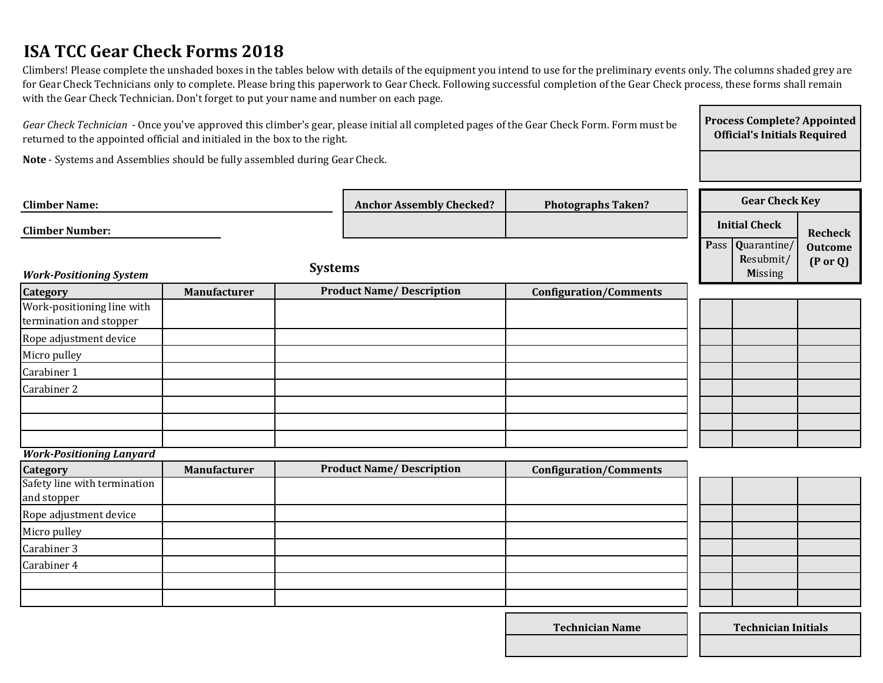# **ISA TCC Gear Check Forms 2018**

Climbers! Please complete the unshaded boxes in the tables below with details of the equipment you intend to use for the preliminary events only. The columns shaded grey are for Gear Check Technicians only to complete. Please bring this paperwork to Gear Check. Following successful completion of the Gear Check process, these forms shall remain with the Gear Check Technician. Don't forget to put your name and number on each page.

| returned to the appointed official and initialed in the box to the right.  |              |                |                                 |                               | Official's Initials Required |                                                |                                       |  |
|----------------------------------------------------------------------------|--------------|----------------|---------------------------------|-------------------------------|------------------------------|------------------------------------------------|---------------------------------------|--|
| Note - Systems and Assemblies should be fully assembled during Gear Check. |              |                |                                 |                               |                              |                                                |                                       |  |
| <b>Climber Name:</b>                                                       |              |                | <b>Anchor Assembly Checked?</b> | <b>Photographs Taken?</b>     |                              | <b>Gear Check Key</b>                          |                                       |  |
| <b>Climber Number:</b>                                                     |              |                |                                 |                               |                              | <b>Initial Check</b>                           | <b>Recheck</b>                        |  |
| <b>Work-Positioning System</b>                                             |              | <b>Systems</b> |                                 |                               |                              | Pass Quarantine<br>Resubmit/<br><b>Missing</b> | <b>Outcome</b><br>$(P \text{ or } Q)$ |  |
| <b>Category</b>                                                            | Manufacturer |                | <b>Product Name/Description</b> | <b>Configuration/Comments</b> |                              |                                                |                                       |  |
| Work-positioning line with<br>termination and stopper                      |              |                |                                 |                               |                              |                                                |                                       |  |
| Rope adjustment device                                                     |              |                |                                 |                               |                              |                                                |                                       |  |
| Micro pulley                                                               |              |                |                                 |                               |                              |                                                |                                       |  |
| Carabiner 1                                                                |              |                |                                 |                               |                              |                                                |                                       |  |
| Carabiner 2                                                                |              |                |                                 |                               |                              |                                                |                                       |  |
|                                                                            |              |                |                                 |                               |                              |                                                |                                       |  |
|                                                                            |              |                |                                 |                               |                              |                                                |                                       |  |
|                                                                            |              |                |                                 |                               |                              |                                                |                                       |  |
| <b>Work-Positioning Lanyard</b>                                            |              |                |                                 |                               |                              |                                                |                                       |  |
| Category                                                                   | Manufacturer |                | <b>Product Name/Description</b> | <b>Configuration/Comments</b> |                              |                                                |                                       |  |
| Safety line with termination<br>and stopper                                |              |                |                                 |                               |                              |                                                |                                       |  |
| Rope adjustment device                                                     |              |                |                                 |                               |                              |                                                |                                       |  |
| Micro pulley                                                               |              |                |                                 |                               |                              |                                                |                                       |  |
| Carabiner 3                                                                |              |                |                                 |                               |                              |                                                |                                       |  |
| Carabiner 4                                                                |              |                |                                 |                               |                              |                                                |                                       |  |

*Gear Check Technician* - Once you've approved this climber's gear, please initial all completed pages of the Gear Check Form. Form must be

**Official's Initials Required**

**Process Complete? Appointed** 

**Technician Name Technician Initials**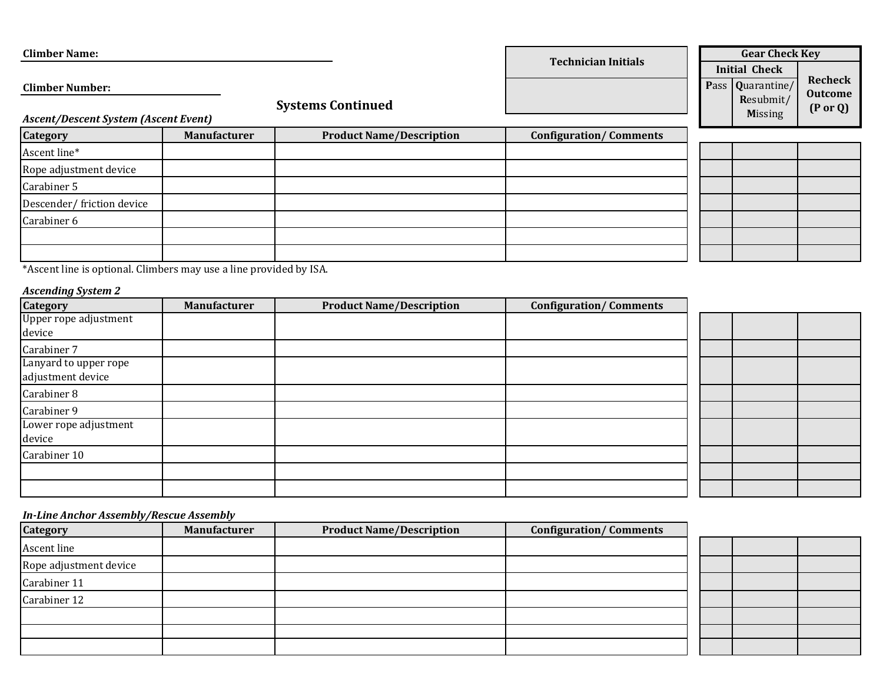| <b>Climber Name:</b>                                                                              |                     |                                 |                               |  | <b>Gear Check Key</b>                                                   |                                                         |
|---------------------------------------------------------------------------------------------------|---------------------|---------------------------------|-------------------------------|--|-------------------------------------------------------------------------|---------------------------------------------------------|
| <b>Climber Number:</b><br><b>Systems Continued</b><br><b>Ascent/Descent System (Ascent Event)</b> |                     |                                 | <b>Technician Initials</b>    |  | <b>Initial Check</b><br>Pass Quarantine/<br>Resubmit/<br><b>Missing</b> | <b>Recheck</b><br><b>Outcome</b><br>$(P \text{ or } Q)$ |
| <b>Category</b>                                                                                   | <b>Manufacturer</b> | <b>Product Name/Description</b> | <b>Configuration/Comments</b> |  |                                                                         |                                                         |
| Ascent line*                                                                                      |                     |                                 |                               |  |                                                                         |                                                         |
| Rope adjustment device                                                                            |                     |                                 |                               |  |                                                                         |                                                         |
| Carabiner 5                                                                                       |                     |                                 |                               |  |                                                                         |                                                         |
| Descender/friction device                                                                         |                     |                                 |                               |  |                                                                         |                                                         |
| Carabiner 6                                                                                       |                     |                                 |                               |  |                                                                         |                                                         |
|                                                                                                   |                     |                                 |                               |  |                                                                         |                                                         |
|                                                                                                   |                     |                                 |                               |  |                                                                         |                                                         |

\*Ascent line is optional. Climbers may use a line provided by ISA.

#### *Ascending System 2*

| $\sim$ $\sim$<br><b>Category</b>           | Manufacturer | <b>Product Name/Description</b> | <b>Configuration/Comments</b> |  |  |
|--------------------------------------------|--------------|---------------------------------|-------------------------------|--|--|
| Upper rope adjustment<br>device            |              |                                 |                               |  |  |
| Carabiner 7                                |              |                                 |                               |  |  |
| Lanyard to upper rope<br>adjustment device |              |                                 |                               |  |  |
| Carabiner 8                                |              |                                 |                               |  |  |
| Carabiner 9                                |              |                                 |                               |  |  |
| Lower rope adjustment<br>device            |              |                                 |                               |  |  |
| Carabiner 10                               |              |                                 |                               |  |  |
|                                            |              |                                 |                               |  |  |
|                                            |              |                                 |                               |  |  |

#### *In-Line Anchor Assembly/Rescue Assembly*

| . .<br><b>Category</b> | Manufacturer | <b>Product Name/Description</b> | <b>Configuration/Comments</b> |
|------------------------|--------------|---------------------------------|-------------------------------|
| Ascent line            |              |                                 |                               |
| Rope adjustment device |              |                                 |                               |
| Carabiner 11           |              |                                 |                               |
| Carabiner 12           |              |                                 |                               |
|                        |              |                                 |                               |
|                        |              |                                 |                               |
|                        |              |                                 |                               |